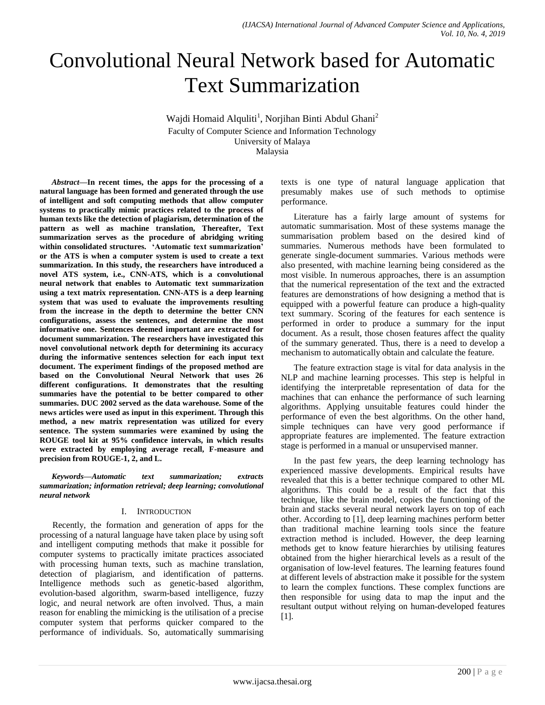# Convolutional Neural Network based for Automatic Text Summarization

Wajdi Homaid Alquliti<sup>1</sup>, Norjihan Binti Abdul Ghani<sup>2</sup> Faculty of Computer Science and Information Technology University of Malaya Malaysia

*Abstract—***In recent times, the apps for the processing of a natural language has been formed and generated through the use of intelligent and soft computing methods that allow computer systems to practically mimic practices related to the process of human texts like the detection of plagiarism, determination of the pattern as well as machine translation, Thereafter, Text summarization serves as the procedure of abridging writing within consolidated structures. 'Automatic text summarization' or the ATS is when a computer system is used to create a text summarization. In this study, the researchers have introduced a novel ATS system, i.e., CNN-ATS, which is a convolutional neural network that enables to Automatic text summarization using a text matrix representation. CNN-ATS is a deep learning system that was used to evaluate the improvements resulting from the increase in the depth to determine the better CNN configurations, assess the sentences, and determine the most informative one. Sentences deemed important are extracted for document summarization. The researchers have investigated this novel convolutional network depth for determining its accuracy during the informative sentences selection for each input text document. The experiment findings of the proposed method are based on the Convolutional Neural Network that uses 26 different configurations. It demonstrates that the resulting summaries have the potential to be better compared to other summaries. DUC 2002 served as the data warehouse. Some of the news articles were used as input in this experiment. Through this method, a new matrix representation was utilized for every sentence. The system summaries were examined by using the ROUGE tool kit at 95% confidence intervals, in which results were extracted by employing average recall, F-measure and precision from ROUGE-1, 2, and L.**

*Keywords—Automatic text summarization; extracts summarization; information retrieval; deep learning; convolutional neural network*

# I. INTRODUCTION

Recently, the formation and generation of apps for the processing of a natural language have taken place by using soft and intelligent computing methods that make it possible for computer systems to practically imitate practices associated with processing human texts, such as machine translation, detection of plagiarism, and identification of patterns. Intelligence methods such as genetic-based algorithm, evolution-based algorithm, swarm-based intelligence, fuzzy logic, and neural network are often involved. Thus, a main reason for enabling the mimicking is the utilisation of a precise computer system that performs quicker compared to the performance of individuals. So, automatically summarising texts is one type of natural language application that presumably makes use of such methods to optimise performance.

Literature has a fairly large amount of systems for automatic summarisation. Most of these systems manage the summarisation problem based on the desired kind of summaries. Numerous methods have been formulated to generate single-document summaries. Various methods were also presented, with machine learning being considered as the most visible. In numerous approaches, there is an assumption that the numerical representation of the text and the extracted features are demonstrations of how designing a method that is equipped with a powerful feature can produce a high-quality text summary. Scoring of the features for each sentence is performed in order to produce a summary for the input document. As a result, those chosen features affect the quality of the summary generated. Thus, there is a need to develop a mechanism to automatically obtain and calculate the feature.

The feature extraction stage is vital for data analysis in the NLP and machine learning processes. This step is helpful in identifying the interpretable representation of data for the machines that can enhance the performance of such learning algorithms. Applying unsuitable features could hinder the performance of even the best algorithms. On the other hand, simple techniques can have very good performance if appropriate features are implemented. The feature extraction stage is performed in a manual or unsupervised manner.

In the past few years, the deep learning technology has experienced massive developments. Empirical results have revealed that this is a better technique compared to other ML algorithms. This could be a result of the fact that this technique, like the brain model, copies the functioning of the brain and stacks several neural network layers on top of each other. According to [1], deep learning machines perform better than traditional machine learning tools since the feature extraction method is included. However, the deep learning methods get to know feature hierarchies by utilising features obtained from the higher hierarchical levels as a result of the organisation of low-level features. The learning features found at different levels of abstraction make it possible for the system to learn the complex functions. These complex functions are then responsible for using data to map the input and the resultant output without relying on human-developed features [1].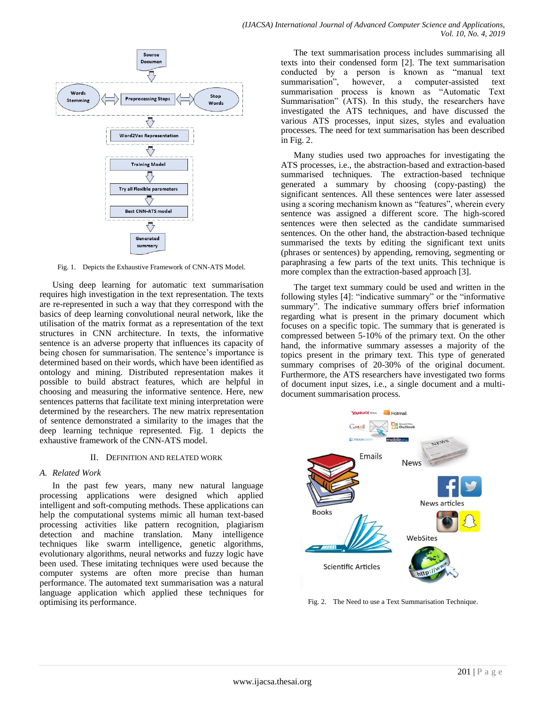

Fig. 1. Depicts the Exhaustive Framework of CNN-ATS Model.

Using deep learning for automatic text summarisation requires high investigation in the text representation. The texts are re-represented in such a way that they correspond with the basics of deep learning convolutional neural network, like the utilisation of the matrix format as a representation of the text structures in CNN architecture. In texts, the informative sentence is an adverse property that influences its capacity of being chosen for summarisation. The sentence's importance is determined based on their words, which have been identified as ontology and mining. Distributed representation makes it possible to build abstract features, which are helpful in choosing and measuring the informative sentence. Here, new sentences patterns that facilitate text mining interpretation were determined by the researchers. The new matrix representation of sentence demonstrated a similarity to the images that the deep learning technique represented. Fig. 1 depicts the exhaustive framework of the CNN-ATS model.

#### II. DEFINITION AND RELATED WORK

#### *A. Related Work*

In the past few years, many new natural language processing applications were designed which applied intelligent and soft-computing methods. These applications can help the computational systems mimic all human text-based processing activities like pattern recognition, plagiarism detection and machine translation. Many intelligence techniques like swarm intelligence, genetic algorithms, evolutionary algorithms, neural networks and fuzzy logic have been used. These imitating techniques were used because the computer systems are often more precise than human performance. The automated text summarisation was a natural language application which applied these techniques for optimising its performance.

The text summarisation process includes summarising all texts into their condensed form [2]. The text summarisation conducted by a person is known as "manual text summarisation", however, a computer-assisted text summarisation process is known as "Automatic Text Summarisation" (ATS). In this study, the researchers have investigated the ATS techniques, and have discussed the various ATS processes, input sizes, styles and evaluation processes. The need for text summarisation has been described in Fig. 2.

Many studies used two approaches for investigating the ATS processes, i.e., the abstraction-based and extraction-based summarised techniques. The extraction-based technique generated a summary by choosing (copy-pasting) the significant sentences. All these sentences were later assessed using a scoring mechanism known as "features", wherein every sentence was assigned a different score. The high-scored sentences were then selected as the candidate summarised sentences. On the other hand, the abstraction-based technique summarised the texts by editing the significant text units (phrases or sentences) by appending, removing, segmenting or paraphrasing a few parts of the text units. This technique is more complex than the extraction-based approach [3].

The target text summary could be used and written in the following styles [4]: "indicative summary" or the "informative summary". The indicative summary offers brief information regarding what is present in the primary document which focuses on a specific topic. The summary that is generated is compressed between 5-10% of the primary text. On the other hand, the informative summary assesses a majority of the topics present in the primary text. This type of generated summary comprises of 20-30% of the original document. Furthermore, the ATS researchers have investigated two forms of document input sizes, i.e., a single document and a multidocument summarisation process.



Fig. 2. The Need to use a Text Summarisation Technique.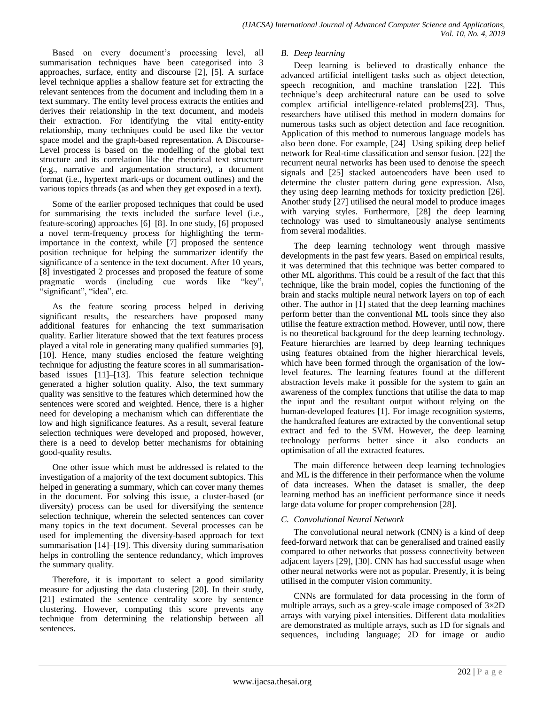Based on every document's processing level, all summarisation techniques have been categorised into 3 approaches, surface, entity and discourse [2], [5]. A surface level technique applies a shallow feature set for extracting the relevant sentences from the document and including them in a text summary. The entity level process extracts the entities and derives their relationship in the text document, and models their extraction. For identifying the vital entity-entity relationship, many techniques could be used like the vector space model and the graph-based representation. A Discourse-Level process is based on the modelling of the global text structure and its correlation like the rhetorical text structure (e.g., narrative and argumentation structure), a document format (i.e., hypertext mark-ups or document outlines) and the various topics threads (as and when they get exposed in a text).

Some of the earlier proposed techniques that could be used for summarising the texts included the surface level (i.e., feature-scoring) approaches [6]–[8]. In one study, [6] proposed a novel term-frequency process for highlighting the termimportance in the context, while [7] proposed the sentence position technique for helping the summarizer identify the significance of a sentence in the text document. After 10 years, [8] investigated 2 processes and proposed the feature of some pragmatic words (including cue words like "key", "significant", "idea", etc.

As the feature scoring process helped in deriving significant results, the researchers have proposed many additional features for enhancing the text summarisation quality. Earlier literature showed that the text features process played a vital role in generating many qualified summaries [9], [10]. Hence, many studies enclosed the feature weighting technique for adjusting the feature scores in all summarisationbased issues [11]–[13]. This feature selection technique generated a higher solution quality. Also, the text summary quality was sensitive to the features which determined how the sentences were scored and weighted. Hence, there is a higher need for developing a mechanism which can differentiate the low and high significance features. As a result, several feature selection techniques were developed and proposed, however, there is a need to develop better mechanisms for obtaining good-quality results.

One other issue which must be addressed is related to the investigation of a majority of the text document subtopics. This helped in generating a summary, which can cover many themes in the document. For solving this issue, a cluster-based (or diversity) process can be used for diversifying the sentence selection technique, wherein the selected sentences can cover many topics in the text document. Several processes can be used for implementing the diversity-based approach for text summarisation [14]–[19]. This diversity during summarisation helps in controlling the sentence redundancy, which improves the summary quality.

Therefore, it is important to select a good similarity measure for adjusting the data clustering [20]. In their study, [21] estimated the sentence centrality score by sentence clustering. However, computing this score prevents any technique from determining the relationship between all sentences.

# *B. Deep learning*

Deep learning is believed to drastically enhance the advanced artificial intelligent tasks such as object detection, speech recognition, and machine translation [22]. This technique's deep architectural nature can be used to solve complex artificial intelligence-related problems[23]. Thus, researchers have utilised this method in modern domains for numerous tasks such as object detection and face recognition. Application of this method to numerous language models has also been done. For example, [24] Using spiking deep belief network for Real-time classification and sensor fusion. [22] the recurrent neural networks has been used to denoise the speech signals and [25] stacked autoencoders have been used to determine the cluster pattern during gene expression. Also, they using deep learning methods for toxicity prediction [26]. Another study [27] utilised the neural model to produce images with varying styles. Furthermore, [28] the deep learning technology was used to simultaneously analyse sentiments from several modalities.

The deep learning technology went through massive developments in the past few years. Based on empirical results, it was determined that this technique was better compared to other ML algorithms. This could be a result of the fact that this technique, like the brain model, copies the functioning of the brain and stacks multiple neural network layers on top of each other. The author in [1] stated that the deep learning machines perform better than the conventional ML tools since they also utilise the feature extraction method. However, until now, there is no theoretical background for the deep learning technology. Feature hierarchies are learned by deep learning techniques using features obtained from the higher hierarchical levels, which have been formed through the organisation of the lowlevel features. The learning features found at the different abstraction levels make it possible for the system to gain an awareness of the complex functions that utilise the data to map the input and the resultant output without relying on the human-developed features [1]. For image recognition systems, the handcrafted features are extracted by the conventional setup extract and fed to the SVM. However, the deep learning technology performs better since it also conducts an optimisation of all the extracted features.

The main difference between deep learning technologies and ML is the difference in their performance when the volume of data increases. When the dataset is smaller, the deep learning method has an inefficient performance since it needs large data volume for proper comprehension [28].

# *C. Convolutional Neural Network*

The convolutional neural network (CNN) is a kind of deep feed-forward network that can be generalised and trained easily compared to other networks that possess connectivity between adjacent layers [29], [30]. CNN has had successful usage when other neural networks were not as popular. Presently, it is being utilised in the computer vision community.

CNNs are formulated for data processing in the form of multiple arrays, such as a grey-scale image composed of  $3\times2D$ arrays with varying pixel intensities. Different data modalities are demonstrated as multiple arrays, such as 1D for signals and sequences, including language; 2D for image or audio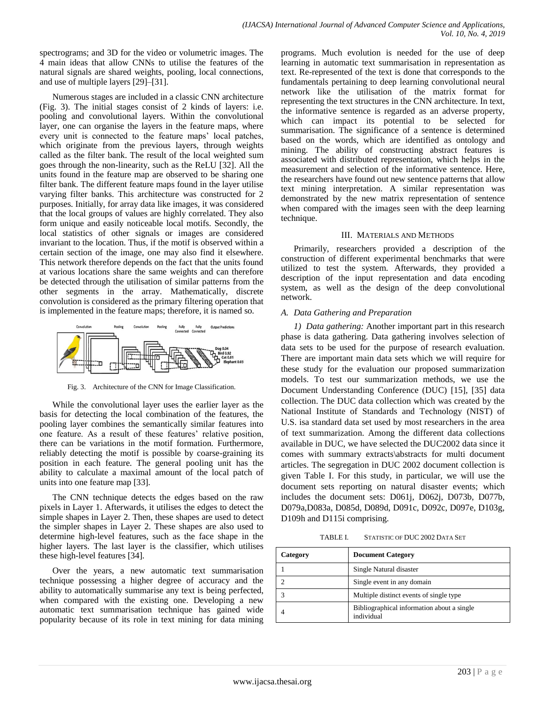spectrograms; and 3D for the video or volumetric images. The 4 main ideas that allow CNNs to utilise the features of the natural signals are shared weights, pooling, local connections, and use of multiple layers [29]–[31].

Numerous stages are included in a classic CNN architecture (Fig. 3). The initial stages consist of 2 kinds of layers: i.e. pooling and convolutional layers. Within the convolutional layer, one can organise the layers in the feature maps, where every unit is connected to the feature maps' local patches, which originate from the previous layers, through weights called as the filter bank. The result of the local weighted sum goes through the non-linearity, such as the ReLU [32]. All the units found in the feature map are observed to be sharing one filter bank. The different feature maps found in the layer utilise varying filter banks. This architecture was constructed for 2 purposes. Initially, for array data like images, it was considered that the local groups of values are highly correlated. They also form unique and easily noticeable local motifs. Secondly, the local statistics of other signals or images are considered invariant to the location. Thus, if the motif is observed within a certain section of the image, one may also find it elsewhere. This network therefore depends on the fact that the units found at various locations share the same weights and can therefore be detected through the utilisation of similar patterns from the other segments in the array. Mathematically, discrete convolution is considered as the primary filtering operation that is implemented in the feature maps; therefore, it is named so.



Fig. 3. Architecture of the CNN for Image Classification.

While the convolutional layer uses the earlier layer as the basis for detecting the local combination of the features, the pooling layer combines the semantically similar features into one feature. As a result of these features' relative position, there can be variations in the motif formation. Furthermore, reliably detecting the motif is possible by coarse-graining its position in each feature. The general pooling unit has the ability to calculate a maximal amount of the local patch of units into one feature map [33].

The CNN technique detects the edges based on the raw pixels in Layer 1. Afterwards, it utilises the edges to detect the simple shapes in Layer 2. Then, these shapes are used to detect the simpler shapes in Layer 2. These shapes are also used to determine high-level features, such as the face shape in the higher layers. The last layer is the classifier, which utilises these high-level features [34].

Over the years, a new automatic text summarisation technique possessing a higher degree of accuracy and the ability to automatically summarise any text is being perfected, when compared with the existing one. Developing a new automatic text summarisation technique has gained wide popularity because of its role in text mining for data mining programs. Much evolution is needed for the use of deep learning in automatic text summarisation in representation as text. Re-represented of the text is done that corresponds to the fundamentals pertaining to deep learning convolutional neural network like the utilisation of the matrix format for representing the text structures in the CNN architecture. In text, the informative sentence is regarded as an adverse property, which can impact its potential to be selected for summarisation. The significance of a sentence is determined based on the words, which are identified as ontology and mining. The ability of constructing abstract features is associated with distributed representation, which helps in the measurement and selection of the informative sentence. Here, the researchers have found out new sentence patterns that allow text mining interpretation. A similar representation was demonstrated by the new matrix representation of sentence when compared with the images seen with the deep learning technique.

# III. MATERIALS AND METHODS

Primarily, researchers provided a description of the construction of different experimental benchmarks that were utilized to test the system. Afterwards, they provided a description of the input representation and data encoding system, as well as the design of the deep convolutional network.

# *A. Data Gathering and Preparation*

*1) Data gathering:* Another important part in this research phase is data gathering. Data gathering involves selection of data sets to be used for the purpose of research evaluation. There are important main data sets which we will require for these study for the evaluation our proposed summarization models. To test our summarization methods, we use the Document Understanding Conference (DUC) [15], [35] data collection. The DUC data collection which was created by the National Institute of Standards and Technology (NIST) of U.S. isa standard data set used by most researchers in the area of text summarization. Among the different data collections available in DUC, we have selected the DUC2002 data since it comes with summary extracts\abstracts for multi document articles. The segregation in DUC 2002 document collection is given Table I. For this study, in particular, we will use the document sets reporting on natural disaster events; which includes the document sets: D061j, D062j, D073b, D077b, D079a,D083a, D085d, D089d, D091c, D092c, D097e, D103g, D109h and D115i comprising.

TABLE I. STATISTIC OF DUC 2002 DATA SET

| Category | <b>Document Category</b>                                 |
|----------|----------------------------------------------------------|
|          | Single Natural disaster                                  |
|          | Single event in any domain                               |
|          | Multiple distinct events of single type                  |
|          | Bibliographical information about a single<br>individual |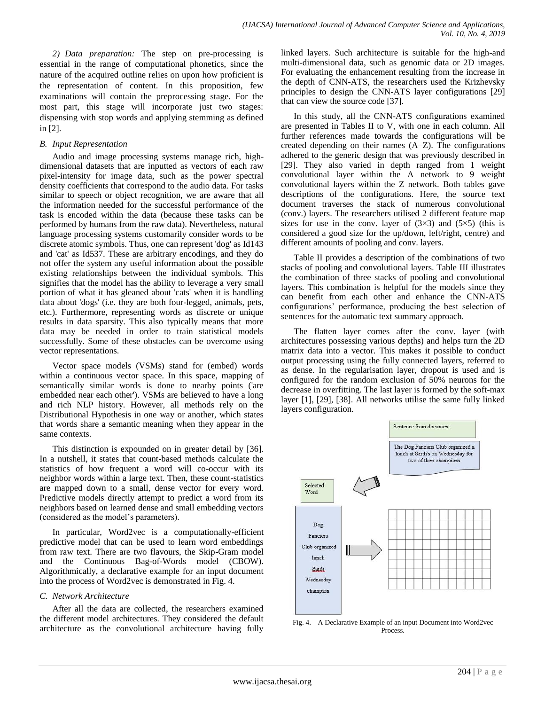*2) Data preparation:* The step on pre-processing is essential in the range of computational phonetics, since the nature of the acquired outline relies on upon how proficient is the representation of content. In this proposition, few examinations will contain the preprocessing stage. For the most part, this stage will incorporate just two stages: dispensing with stop words and applying stemming as defined in [2].

# *B. Input Representation*

Audio and image processing systems manage rich, highdimensional datasets that are inputted as vectors of each raw pixel-intensity for image data, such as the power spectral density coefficients that correspond to the audio data. For tasks similar to speech or object recognition, we are aware that all the information needed for the successful performance of the task is encoded within the data (because these tasks can be performed by humans from the raw data). Nevertheless, natural language processing systems customarily consider words to be discrete atomic symbols. Thus, one can represent 'dog' as Id143 and 'cat' as Id537. These are arbitrary encodings, and they do not offer the system any useful information about the possible existing relationships between the individual symbols. This signifies that the model has the ability to leverage a very small portion of what it has gleaned about 'cats' when it is handling data about 'dogs' (i.e. they are both four-legged, animals, pets, etc.). Furthermore, representing words as discrete or unique results in data sparsity. This also typically means that more data may be needed in order to train statistical models successfully. Some of these obstacles can be overcome using vector representations.

Vector space models (VSMs) stand for (embed) words within a continuous vector space. In this space, mapping of semantically similar words is done to nearby points ('are embedded near each other'). VSMs are believed to have a long and rich NLP history. However, all methods rely on the Distributional Hypothesis in one way or another, which states that words share a semantic meaning when they appear in the same contexts.

This distinction is expounded on in greater detail by [36]. In a nutshell, it states that count-based methods calculate the statistics of how frequent a word will co-occur with its neighbor words within a large text. Then, these count-statistics are mapped down to a small, dense vector for every word. Predictive models directly attempt to predict a word from its neighbors based on learned dense and small embedding vectors (considered as the model's parameters).

In particular, Word2vec is a computationally-efficient predictive model that can be used to learn word embeddings from raw text. There are two flavours, the Skip-Gram model and the Continuous Bag-of-Words model (CBOW). Algorithmically, a declarative example for an input document into the process of Word2vec is demonstrated in Fig. 4.

# *C. Network Architecture*

After all the data are collected, the researchers examined the different model architectures. They considered the default architecture as the convolutional architecture having fully linked layers. Such architecture is suitable for the high-and multi-dimensional data, such as genomic data or 2D images. For evaluating the enhancement resulting from the increase in the depth of CNN-ATS, the researchers used the Krizhevsky principles to design the CNN-ATS layer configurations [29] that can view the source code [37].

In this study, all the CNN-ATS configurations examined are presented in Tables II to V, with one in each column. All further references made towards the configurations will be created depending on their names (A–Z). The configurations adhered to the generic design that was previously described in [29]. They also varied in depth ranged from 1 weight convolutional layer within the A network to 9 weight convolutional layers within the Z network. Both tables gave descriptions of the configurations. Here, the source text document traverses the stack of numerous convolutional (conv.) layers. The researchers utilised 2 different feature map sizes for use in the conv. layer of  $(3\times3)$  and  $(5\times5)$  (this is considered a good size for the up/down, left/right, centre) and different amounts of pooling and conv. layers.

Table II provides a description of the combinations of two stacks of pooling and convolutional layers. Table III illustrates the combination of three stacks of pooling and convolutional layers. This combination is helpful for the models since they can benefit from each other and enhance the CNN-ATS configurations' performance, producing the best selection of sentences for the automatic text summary approach.

The flatten layer comes after the conv. layer (with architectures possessing various depths) and helps turn the 2D matrix data into a vector. This makes it possible to conduct output processing using the fully connected layers, referred to as dense. In the regularisation layer, dropout is used and is configured for the random exclusion of 50% neurons for the decrease in overfitting. The last layer is formed by the soft-max layer [1], [29], [38]. All networks utilise the same fully linked layers configuration.



Fig. 4. A Declarative Example of an input Document into Word2vec Process.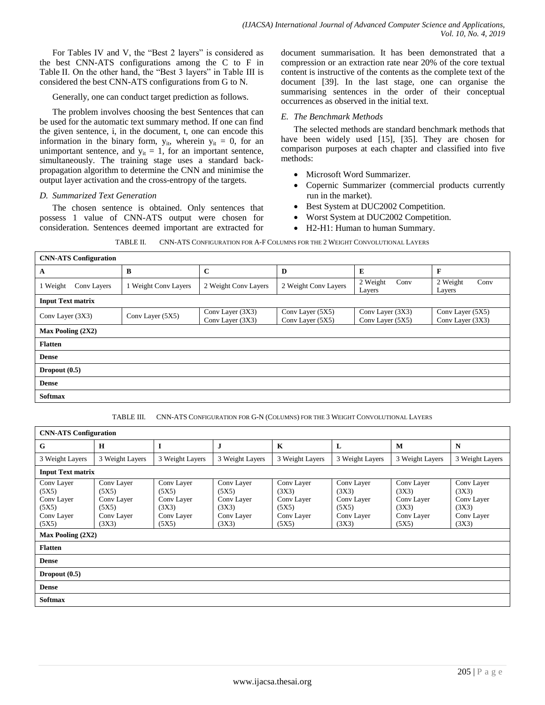For Tables IV and V, the "Best 2 layers" is considered as the best CNN-ATS configurations among the C to F in Table II. On the other hand, the "Best 3 layers" in Table III is considered the best CNN-ATS configurations from G to N.

Generally, one can conduct target prediction as follows.

The problem involves choosing the best Sentences that can be used for the automatic text summary method. If one can find the given sentence, i, in the document, t, one can encode this information in the binary form,  $y_{it}$ , wherein  $y_{it} = 0$ , for an unimportant sentence, and  $y_{it} = 1$ , for an important sentence, simultaneously. The training stage uses a standard backpropagation algorithm to determine the CNN and minimise the output layer activation and the cross-entropy of the targets.

# *D. Summarized Text Generation*

The chosen sentence is obtained. Only sentences that possess 1 value of CNN-ATS output were chosen for consideration. Sentences deemed important are extracted for document summarisation. It has been demonstrated that a compression or an extraction rate near 20% of the core textual content is instructive of the contents as the complete text of the document [39]. In the last stage, one can organise the summarising sentences in the order of their conceptual occurrences as observed in the initial text.

#### *E. The Benchmark Methods*

The selected methods are standard benchmark methods that have been widely used [15], [35]. They are chosen for comparison purposes at each chapter and classified into five methods:

- Microsoft Word Summarizer.
- Copernic Summarizer (commercial products currently run in the market).
- Best System at DUC2002 Competition.
- Worst System at DUC2002 Competition.
- H2-H1: Human to human Summary.

TABLE II. CNN-ATS CONFIGURATION FOR A-F COLUMNS FOR THE 2 WEIGHT CONVOLUTIONAL LAYERS

| <b>CNN-ATS</b> Configuration |                      |                                      |                                      |                                      |                                      |  |  |
|------------------------------|----------------------|--------------------------------------|--------------------------------------|--------------------------------------|--------------------------------------|--|--|
| A                            | B                    | $\mathbf C$                          | D                                    | E                                    | $\mathbf{F}$                         |  |  |
| 1 Weight<br>Conv Layers      | 1 Weight Conv Layers | 2 Weight Conv Layers                 | 2 Weight Conv Layers                 | 2 Weight<br>Conv<br>Layers           | Conv<br>2 Weight<br>Layers           |  |  |
| <b>Input Text matrix</b>     |                      |                                      |                                      |                                      |                                      |  |  |
| Conv Layer (3X3)             | Conv Layer (5X5)     | Conv Layer (3X3)<br>Conv Layer (3X3) | Conv Layer (5X5)<br>Conv Layer (5X5) | Conv Layer (3X3)<br>Conv Layer (5X5) | Conv Layer (5X5)<br>Conv Layer (3X3) |  |  |
| <b>Max Pooling (2X2)</b>     |                      |                                      |                                      |                                      |                                      |  |  |
| <b>Flatten</b>               |                      |                                      |                                      |                                      |                                      |  |  |
| <b>Dense</b>                 |                      |                                      |                                      |                                      |                                      |  |  |
| Dropout $(0.5)$              |                      |                                      |                                      |                                      |                                      |  |  |
| <b>Dense</b>                 |                      |                                      |                                      |                                      |                                      |  |  |
| <b>Softmax</b>               |                      |                                      |                                      |                                      |                                      |  |  |

TABLE III. CNN-ATS CONFIGURATION FOR G-N (COLUMNS) FOR THE 3 WEIGHT CONVOLUTIONAL LAYERS

| <b>CNN-ATS Configuration</b>                                      |                                                                   |                                                                   |                                                                   |                                                                   |                                                                   |                                                                   |                                                                   |
|-------------------------------------------------------------------|-------------------------------------------------------------------|-------------------------------------------------------------------|-------------------------------------------------------------------|-------------------------------------------------------------------|-------------------------------------------------------------------|-------------------------------------------------------------------|-------------------------------------------------------------------|
| G                                                                 | H                                                                 | I                                                                 | $\mathbf{J}$                                                      | $\mathbf K$                                                       | L                                                                 | M                                                                 | N                                                                 |
| 3 Weight Layers                                                   | 3 Weight Layers                                                   | 3 Weight Layers                                                   | 3 Weight Layers                                                   | 3 Weight Layers                                                   | 3 Weight Layers                                                   | 3 Weight Layers                                                   | 3 Weight Layers                                                   |
| <b>Input Text matrix</b>                                          |                                                                   |                                                                   |                                                                   |                                                                   |                                                                   |                                                                   |                                                                   |
| Conv Layer<br>(5X5)<br>Conv Layer<br>(5X5)<br>Conv Layer<br>(5X5) | Conv Layer<br>(5X5)<br>Conv Layer<br>(5X5)<br>Conv Layer<br>(3X3) | Conv Layer<br>(5X5)<br>Conv Layer<br>(3X3)<br>Conv Layer<br>(5X5) | Conv Layer<br>(5X5)<br>Conv Layer<br>(3X3)<br>Conv Layer<br>(3X3) | Conv Layer<br>(3X3)<br>Conv Layer<br>(5X5)<br>Conv Layer<br>(5X5) | Conv Layer<br>(3X3)<br>Conv Layer<br>(5X5)<br>Conv Layer<br>(3X3) | Conv Layer<br>(3X3)<br>Conv Layer<br>(3X3)<br>Conv Layer<br>(5X5) | Conv Layer<br>(3X3)<br>Conv Layer<br>(3X3)<br>Conv Layer<br>(3X3) |
| <b>Max Pooling (2X2)</b>                                          |                                                                   |                                                                   |                                                                   |                                                                   |                                                                   |                                                                   |                                                                   |
| <b>Flatten</b>                                                    |                                                                   |                                                                   |                                                                   |                                                                   |                                                                   |                                                                   |                                                                   |
| <b>Dense</b>                                                      |                                                                   |                                                                   |                                                                   |                                                                   |                                                                   |                                                                   |                                                                   |
| Dropout $(0.5)$                                                   |                                                                   |                                                                   |                                                                   |                                                                   |                                                                   |                                                                   |                                                                   |
| <b>Dense</b>                                                      |                                                                   |                                                                   |                                                                   |                                                                   |                                                                   |                                                                   |                                                                   |
| <b>Softmax</b>                                                    |                                                                   |                                                                   |                                                                   |                                                                   |                                                                   |                                                                   |                                                                   |
|                                                                   |                                                                   |                                                                   |                                                                   |                                                                   |                                                                   |                                                                   |                                                                   |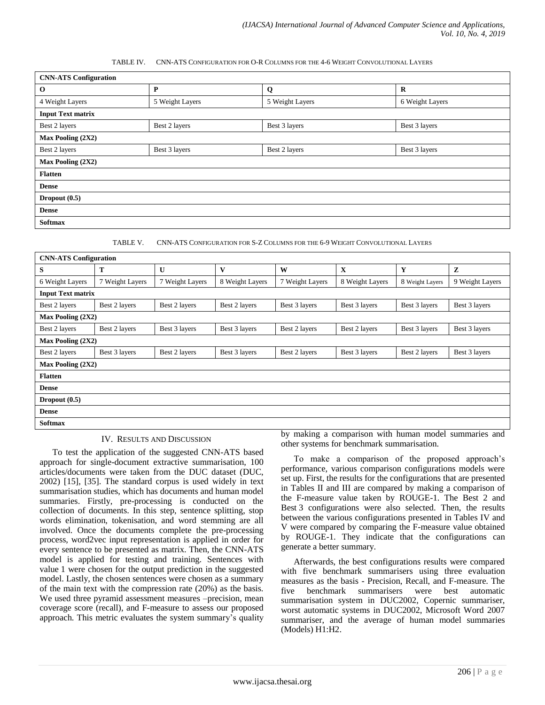#### TABLE IV. CNN-ATS CONFIGURATION FOR O-R COLUMNS FOR THE 4-6 WEIGHT CONVOLUTIONAL LAYERS

| <b>CNN-ATS Configuration</b> |                 |                 |                 |  |  |  |  |
|------------------------------|-----------------|-----------------|-----------------|--|--|--|--|
| $\bf{0}$                     | P               | Q               | $\bf R$         |  |  |  |  |
| 4 Weight Layers              | 5 Weight Layers | 5 Weight Layers | 6 Weight Layers |  |  |  |  |
| <b>Input Text matrix</b>     |                 |                 |                 |  |  |  |  |
| Best 2 layers                | Best 2 layers   | Best 3 layers   | Best 3 layers   |  |  |  |  |
| Max Pooling (2X2)            |                 |                 |                 |  |  |  |  |
| Best 2 layers                | Best 3 layers   | Best 2 layers   | Best 3 layers   |  |  |  |  |
| <b>Max Pooling (2X2)</b>     |                 |                 |                 |  |  |  |  |
| <b>Flatten</b>               |                 |                 |                 |  |  |  |  |
| <b>Dense</b>                 |                 |                 |                 |  |  |  |  |
| Dropout (0.5)                |                 |                 |                 |  |  |  |  |
| <b>Dense</b>                 |                 |                 |                 |  |  |  |  |
| <b>Softmax</b>               |                 |                 |                 |  |  |  |  |

TABLE V. CNN-ATS CONFIGURATION FOR S-Z COLUMNS FOR THE 6-9 WEIGHT CONVOLUTIONAL LAYERS

| Z<br>9 Weight Layers                                                 |  |  |  |  |  |  |
|----------------------------------------------------------------------|--|--|--|--|--|--|
|                                                                      |  |  |  |  |  |  |
|                                                                      |  |  |  |  |  |  |
|                                                                      |  |  |  |  |  |  |
| Best 3 layers                                                        |  |  |  |  |  |  |
|                                                                      |  |  |  |  |  |  |
| Best 3 layers                                                        |  |  |  |  |  |  |
|                                                                      |  |  |  |  |  |  |
| Best 3 layers                                                        |  |  |  |  |  |  |
| <b>Max Pooling (2X2)</b>                                             |  |  |  |  |  |  |
|                                                                      |  |  |  |  |  |  |
|                                                                      |  |  |  |  |  |  |
|                                                                      |  |  |  |  |  |  |
|                                                                      |  |  |  |  |  |  |
| the model of a communication of the terms of model communication and |  |  |  |  |  |  |
|                                                                      |  |  |  |  |  |  |

#### IV. RESULTS AND DISCUSSION

To test the application of the suggested CNN-ATS based approach for single-document extractive summarisation, 100 articles/documents were taken from the DUC dataset (DUC, 2002) [15], [35]. The standard corpus is used widely in text summarisation studies, which has documents and human model summaries. Firstly, pre-processing is conducted on the collection of documents. In this step, sentence splitting, stop words elimination, tokenisation, and word stemming are all involved. Once the documents complete the pre-processing process, word2vec input representation is applied in order for every sentence to be presented as matrix. Then, the CNN-ATS model is applied for testing and training. Sentences with value 1 were chosen for the output prediction in the suggested model. Lastly, the chosen sentences were chosen as a summary of the main text with the compression rate (20%) as the basis. We used three pyramid assessment measures –precision, mean coverage score (recall), and F-measure to assess our proposed approach. This metric evaluates the system summary's quality by making a comparison with human model summaries and other systems for benchmark summarisation.

To make a comparison of the proposed approach's performance, various comparison configurations models were set up. First, the results for the configurations that are presented in Tables II and III are compared by making a comparison of the F-measure value taken by ROUGE-1. The Best 2 and Best 3 configurations were also selected. Then, the results between the various configurations presented in Tables IV and V were compared by comparing the F-measure value obtained by ROUGE-1. They indicate that the configurations can generate a better summary.

Afterwards, the best configurations results were compared with five benchmark summarisers using three evaluation measures as the basis - Precision, Recall, and F-measure. The five benchmark summarisers were best automatic summarisation system in DUC2002, Copernic summariser, worst automatic systems in DUC2002, Microsoft Word 2007 summariser, and the average of human model summaries (Models) H1:H2.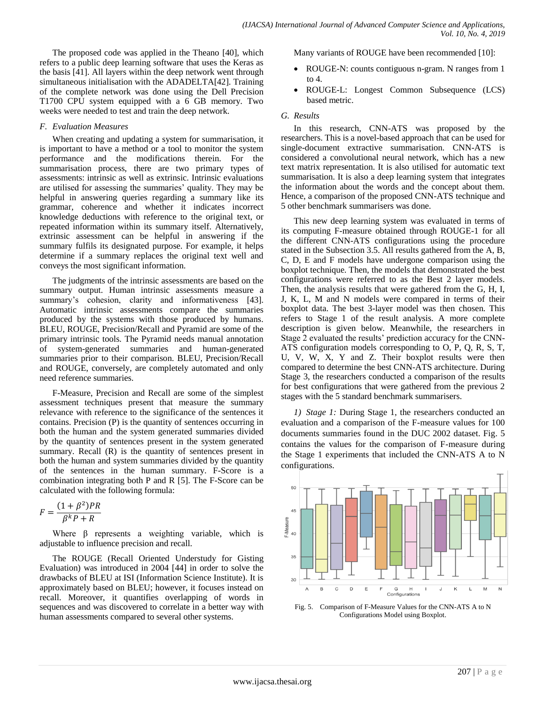The proposed code was applied in the Theano [40], which refers to a public deep learning software that uses the Keras as the basis [41]. All layers within the deep network went through simultaneous initialisation with the ADADELTA[42]. Training of the complete network was done using the Dell Precision T1700 CPU system equipped with a 6 GB memory. Two weeks were needed to test and train the deep network.

#### *F. Evaluation Measures*

When creating and updating a system for summarisation, it is important to have a method or a tool to monitor the system performance and the modifications therein. For the summarisation process, there are two primary types of assessments: intrinsic as well as extrinsic. Intrinsic evaluations are utilised for assessing the summaries' quality. They may be helpful in answering queries regarding a summary like its grammar, coherence and whether it indicates incorrect knowledge deductions with reference to the original text, or repeated information within its summary itself. Alternatively, extrinsic assessment can be helpful in answering if the summary fulfils its designated purpose. For example, it helps determine if a summary replaces the original text well and conveys the most significant information.

The judgments of the intrinsic assessments are based on the summary output. Human intrinsic assessments measure a summary's cohesion, clarity and informativeness [43]. Automatic intrinsic assessments compare the summaries produced by the systems with those produced by humans. BLEU, ROUGE, Precision/Recall and Pyramid are some of the primary intrinsic tools. The Pyramid needs manual annotation of system-generated summaries and human-generated summaries prior to their comparison. BLEU, Precision/Recall and ROUGE, conversely, are completely automated and only need reference summaries.

F-Measure, Precision and Recall are some of the simplest assessment techniques present that measure the summary relevance with reference to the significance of the sentences it contains. Precision (P) is the quantity of sentences occurring in both the human and the system generated summaries divided by the quantity of sentences present in the system generated summary. Recall (R) is the quantity of sentences present in both the human and system summaries divided by the quantity of the sentences in the human summary. F-Score is a combination integrating both P and R [5]. The F-Score can be calculated with the following formula:

$$
F = \frac{(1 + \beta^2)PR}{\beta^k P + R}
$$

Where  $\beta$  represents a weighting variable, which is adjustable to influence precision and recall.

The ROUGE (Recall Oriented Understudy for Gisting Evaluation) was introduced in 2004 [44] in order to solve the drawbacks of BLEU at ISI (Information Science Institute). It is approximately based on BLEU; however, it focuses instead on recall. Moreover, it quantifies overlapping of words in sequences and was discovered to correlate in a better way with human assessments compared to several other systems.

Many variants of ROUGE have been recommended [10]:

- ROUGE-N: counts contiguous n-gram. N ranges from 1 to 4.
- ROUGE-L: Longest Common Subsequence (LCS) based metric.

# *G. Results*

In this research, CNN-ATS was proposed by the researchers. This is a novel-based approach that can be used for single-document extractive summarisation. CNN-ATS is considered a convolutional neural network, which has a new text matrix representation. It is also utilised for automatic text summarisation. It is also a deep learning system that integrates the information about the words and the concept about them. Hence, a comparison of the proposed CNN-ATS technique and 5 other benchmark summarisers was done.

This new deep learning system was evaluated in terms of its computing F-measure obtained through ROUGE-1 for all the different CNN-ATS configurations using the procedure stated in the Subsection 3.5. All results gathered from the A, B, C, D, E and F models have undergone comparison using the boxplot technique. Then, the models that demonstrated the best configurations were referred to as the Best 2 layer models. Then, the analysis results that were gathered from the G, H, I, J, K, L, M and N models were compared in terms of their boxplot data. The best 3-layer model was then chosen. This refers to Stage 1 of the result analysis. A more complete description is given below. Meanwhile, the researchers in Stage 2 evaluated the results' prediction accuracy for the CNN-ATS configuration models corresponding to O, P, Q, R, S, T, U, V, W, X, Y and Z. Their boxplot results were then compared to determine the best CNN-ATS architecture. During Stage 3, the researchers conducted a comparison of the results for best configurations that were gathered from the previous 2 stages with the 5 standard benchmark summarisers.

*1) Stage 1:* During Stage 1, the researchers conducted an evaluation and a comparison of the F-measure values for 100 documents summaries found in the DUC 2002 dataset. Fig. 5 contains the values for the comparison of F-measure during the Stage 1 experiments that included the CNN-ATS A to N configurations.



Fig. 5. Comparison of F-Measure Values for the CNN-ATS A to N Configurations Model using Boxplot.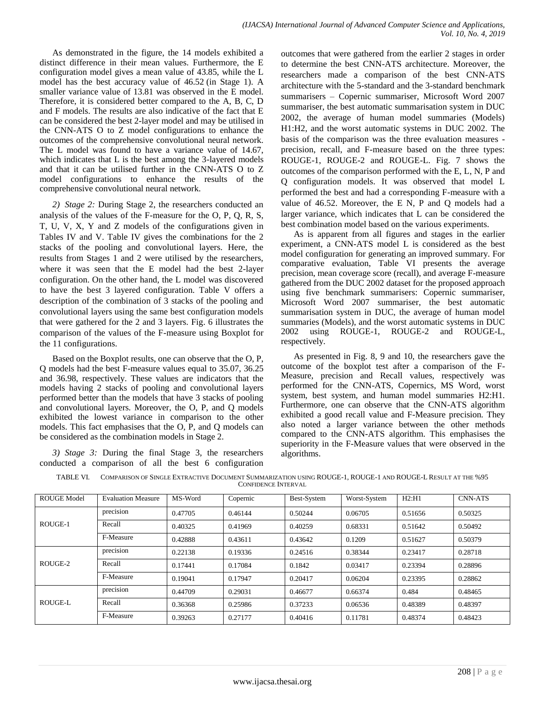As demonstrated in the figure, the 14 models exhibited a distinct difference in their mean values. Furthermore, the E configuration model gives a mean value of 43.85, while the L model has the best accuracy value of 46.52 (in Stage 1). A smaller variance value of 13.81 was observed in the E model. Therefore, it is considered better compared to the A, B, C, D and F models. The results are also indicative of the fact that E can be considered the best 2-layer model and may be utilised in the CNN-ATS O to Z model configurations to enhance the outcomes of the comprehensive convolutional neural network. The L model was found to have a variance value of 14.67, which indicates that L is the best among the 3-layered models and that it can be utilised further in the CNN-ATS O to Z model configurations to enhance the results of the comprehensive convolutional neural network.

*2) Stage 2:* During Stage 2, the researchers conducted an analysis of the values of the F-measure for the O, P, Q, R, S, T, U, V, X, Y and Z models of the configurations given in Tables IV and V. Table IV gives the combinations for the 2 stacks of the pooling and convolutional layers. Here, the results from Stages 1 and 2 were utilised by the researchers, where it was seen that the E model had the best 2-layer configuration. On the other hand, the L model was discovered to have the best 3 layered configuration. Table V offers a description of the combination of 3 stacks of the pooling and convolutional layers using the same best configuration models that were gathered for the 2 and 3 layers. Fig. 6 illustrates the comparison of the values of the F-measure using Boxplot for the 11 configurations.

Based on the Boxplot results, one can observe that the O, P, Q models had the best F-measure values equal to 35.07, 36.25 and 36.98, respectively. These values are indicators that the models having 2 stacks of pooling and convolutional layers performed better than the models that have 3 stacks of pooling and convolutional layers. Moreover, the O, P, and Q models exhibited the lowest variance in comparison to the other models. This fact emphasises that the O, P, and Q models can be considered as the combination models in Stage 2.

*3) Stage 3:* During the final Stage 3, the researchers conducted a comparison of all the best 6 configuration outcomes that were gathered from the earlier 2 stages in order to determine the best CNN-ATS architecture. Moreover, the researchers made a comparison of the best CNN-ATS architecture with the 5-standard and the 3-standard benchmark summarisers – Copernic summariser, Microsoft Word 2007 summariser, the best automatic summarisation system in DUC 2002, the average of human model summaries (Models) H1:H2, and the worst automatic systems in DUC 2002. The basis of the comparison was the three evaluation measures precision, recall, and F-measure based on the three types: ROUGE-1, ROUGE-2 and ROUGE-L. Fig. 7 shows the outcomes of the comparison performed with the E, L, N, P and Q configuration models. It was observed that model L performed the best and had a corresponding F-measure with a value of 46.52. Moreover, the E N, P and Q models had a larger variance, which indicates that L can be considered the best combination model based on the various experiments.

As is apparent from all figures and stages in the earlier experiment, a CNN-ATS model L is considered as the best model configuration for generating an improved summary. For comparative evaluation, Table VI presents the average precision, mean coverage score (recall), and average F-measure gathered from the DUC 2002 dataset for the proposed approach using five benchmark summarisers: Copernic summariser, Microsoft Word 2007 summariser, the best automatic summarisation system in DUC, the average of human model summaries (Models), and the worst automatic systems in DUC 2002 using ROUGE-1, ROUGE-2 and ROUGE-L, respectively.

As presented in Fig. 8, 9 and 10, the researchers gave the outcome of the boxplot test after a comparison of the F-Measure, precision and Recall values, respectively was performed for the CNN-ATS, Copernics, MS Word, worst system, best system, and human model summaries H2:H1. Furthermore, one can observe that the CNN-ATS algorithm exhibited a good recall value and F-Measure precision. They also noted a larger variance between the other methods compared to the CNN-ATS algorithm. This emphasises the superiority in the F-Measure values that were observed in the algorithms.

| ROUGE Model | <b>Evaluation Measure</b> | MS-Word | Copernic | Best-System | Worst-System | H2:H1   | <b>CNN-ATS</b> |
|-------------|---------------------------|---------|----------|-------------|--------------|---------|----------------|
| ROUGE-1     | precision                 | 0.47705 | 0.46144  | 0.50244     | 0.06705      | 0.51656 | 0.50325        |
|             | Recall                    | 0.40325 | 0.41969  | 0.40259     | 0.68331      | 0.51642 | 0.50492        |
|             | F-Measure                 | 0.42888 | 0.43611  | 0.43642     | 0.1209       | 0.51627 | 0.50379        |
| ROUGE-2     | precision                 | 0.22138 | 0.19336  | 0.24516     | 0.38344      | 0.23417 | 0.28718        |
|             | Recall                    | 0.17441 | 0.17084  | 0.1842      | 0.03417      | 0.23394 | 0.28896        |
|             | F-Measure                 | 0.19041 | 0.17947  | 0.20417     | 0.06204      | 0.23395 | 0.28862        |
| ROUGE-L     | precision                 | 0.44709 | 0.29031  | 0.46677     | 0.66374      | 0.484   | 0.48465        |
|             | Recall                    | 0.36368 | 0.25986  | 0.37233     | 0.06536      | 0.48389 | 0.48397        |
|             | F-Measure                 | 0.39263 | 0.27177  | 0.40416     | 0.11781      | 0.48374 | 0.48423        |

TABLE VI. COMPARISON OF SINGLE EXTRACTIVE DOCUMENT SUMMARIZATION USING ROUGE-1, ROUGE-1 AND ROUGE-L RESULT AT THE %95 CONFIDENCE INTERVAL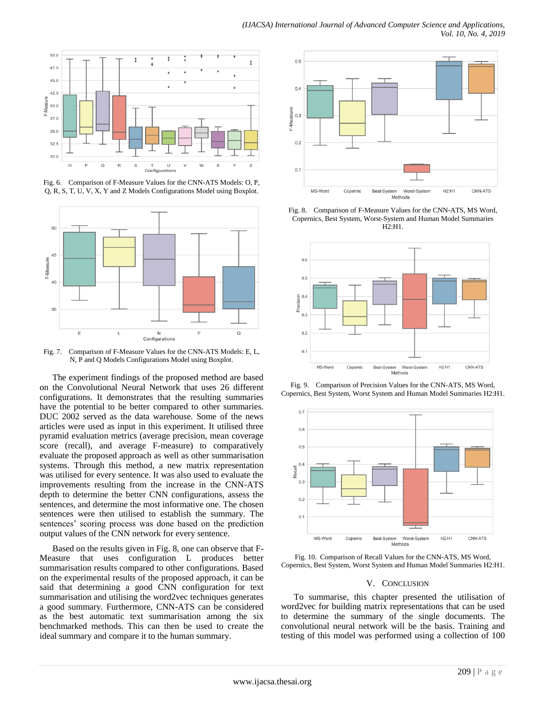

Fig. 6. Comparison of F-Measure Values for the CNN-ATS Models: O, P, Q, R, S, T, U, V, X, Y and Z Models Configurations Model using Boxplot.



Fig. 7. Comparison of F-Measure Values for the CNN-ATS Models: E, L, N, P and Q Models Configurations Model using Boxplot.

The experiment findings of the proposed method are based on the Convolutional Neural Network that uses 26 different configurations. It demonstrates that the resulting summaries have the potential to be better compared to other summaries. DUC 2002 served as the data warehouse. Some of the news articles were used as input in this experiment. It utilised three pyramid evaluation metrics (average precision, mean coverage score (recall), and average F-measure) to comparatively evaluate the proposed approach as well as other summarisation systems. Through this method, a new matrix representation was utilised for every sentence. It was also used to evaluate the improvements resulting from the increase in the CNN-ATS depth to determine the better CNN configurations, assess the sentences, and determine the most informative one. The chosen sentences were then utilised to establish the summary. The sentences' scoring process was done based on the prediction output values of the CNN network for every sentence.

Based on the results given in Fig. 8, one can observe that F-Measure that uses configuration L produces better summarisation results compared to other configurations. Based on the experimental results of the proposed approach, it can be said that determining a good CNN configuration for text summarisation and utilising the word2vec techniques generates a good summary. Furthermore, CNN-ATS can be considered as the best automatic text summarisation among the six benchmarked methods. This can then be used to create the ideal summary and compare it to the human summary.



Fig. 8. Comparison of F-Measure Values for the CNN-ATS, MS Word, Copernics, Best System, Worst-System and Human Model Summaries H2:H1.



Fig. 9. Comparison of Precision Values for the CNN-ATS, MS Word, Copernics, Best System, Worst System and Human Model Summaries H2:H1.



Fig. 10. Comparison of Recall Values for the CNN-ATS, MS Word, Copernics, Best System, Worst System and Human Model Summaries H2:H1.

#### V. CONCLUSION

To summarise, this chapter presented the utilisation of word2vec for building matrix representations that can be used to determine the summary of the single documents. The convolutional neural network will be the basis. Training and testing of this model was performed using a collection of 100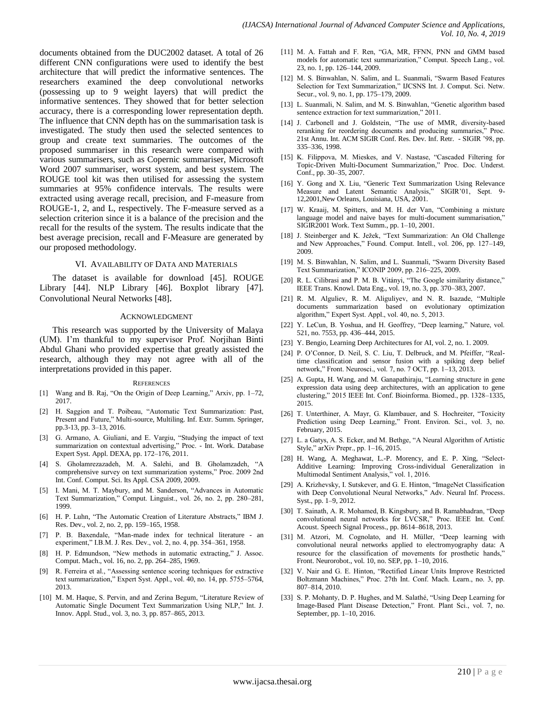documents obtained from the DUC2002 dataset. A total of 26 different CNN configurations were used to identify the best architecture that will predict the informative sentences. The researchers examined the deep convolutional networks (possessing up to 9 weight layers) that will predict the informative sentences. They showed that for better selection accuracy, there is a corresponding lower representation depth. The influence that CNN depth has on the summarisation task is investigated. The study then used the selected sentences to group and create text summaries. The outcomes of the proposed summariser in this research were compared with various summarisers, such as Copernic summariser, Microsoft Word 2007 summariser, worst system, and best system. The ROUGE tool kit was then utilised for assessing the system summaries at 95% confidence intervals. The results were extracted using average recall, precision, and F-measure from ROUGE-1, 2, and L, respectively. The F-measure served as a selection criterion since it is a balance of the precision and the recall for the results of the system. The results indicate that the best average precision, recall and F-Measure are generated by our proposed methodology.

#### VI. AVAILABILITY OF DATA AND MATERIALS

The dataset is available for download [45]. ROUGE Library [44]. NLP Library [46]. Boxplot library [47]. Convolutional Neural Networks [48].

#### ACKNOWLEDGMENT

This research was supported by the University of Malaya (UM). I'm thankful to my supervisor Prof. Norjihan Binti Abdul Ghani who provided expertise that greatly assisted the research, although they may not agree with all of the interpretations provided in this paper.

#### **REFERENCES**

- [1] Wang and B. Raj, "On the Origin of Deep Learning," Arxiv, pp. 1–72, 2017.
- [2] H. Saggion and T. Poibeau, "Automatic Text Summarization: Past, Present and Future," Multi-source, Multiling. Inf. Extr. Summ. Springer, pp.3-13, pp. 3–13, 2016.
- [3] G. Armano, A. Giuliani, and E. Vargiu, "Studying the impact of text summarization on contextual advertising," Proc. - Int. Work. Database Expert Syst. Appl. DEXA, pp. 172–176, 2011.
- [4] S. Gholamrezazadeh, M. A. Salehi, and B. Gholamzadeh, "A comprehensive survey on text summarization systems," Proc. 2009 2nd Int. Conf. Comput. Sci. Its Appl. CSA 2009, 2009.
- [5] I. Mani, M. T. Maybury, and M. Sanderson, "Advances in Automatic Text Summarization," Comput. Linguist., vol. 26, no. 2, pp. 280–281, 1999.
- [6] H. P. Luhn, "The Automatic Creation of Literature Abstracts," IBM J. Res. Dev., vol. 2, no. 2, pp. 159–165, 1958.
- [7] P. B. Baxendale, "Man-made index for technical literature an experiment," I.B.M. J. Res. Dev., vol. 2, no. 4, pp. 354–361, 1958.
- [8] H. P. Edmundson, "New methods in automatic extracting," J. Assoc. Comput. Mach., vol. 16, no. 2, pp. 264–285, 1969.
- [9] R. Ferreira et al., "Assessing sentence scoring techniques for extractive text summarization," Expert Syst. Appl., vol. 40, no. 14, pp. 5755–5764, 2013.
- [10] M. M. Haque, S. Pervin, and and Zerina Begum, "Literature Review of Automatic Single Document Text Summarization Using NLP," Int. J. Innov. Appl. Stud., vol. 3, no. 3, pp. 857–865, 2013.
- [11] M. A. Fattah and F. Ren, "GA, MR, FFNN, PNN and GMM based models for automatic text summarization," Comput. Speech Lang., vol. 23, no. 1, pp. 126–144, 2009.
- [12] M. S. Binwahlan, N. Salim, and L. Suanmali, "Swarm Based Features Selection for Text Summarization," IJCSNS Int. J. Comput. Sci. Netw. Secur., vol. 9, no. 1, pp. 175–179, 2009.
- [13] L. Suanmali, N. Salim, and M. S. Binwahlan, "Genetic algorithm based sentence extraction for text summarization," 2011.
- [14] J. Carbonell and J. Goldstein, "The use of MMR, diversity-based reranking for reordering documents and producing summaries," Proc. 21st Annu. Int. ACM SIGIR Conf. Res. Dev. Inf. Retr. - SIGIR '98, pp. 335–336, 1998.
- [15] K. Filippova, M. Mieskes, and V. Nastase, "Cascaded Filtering for Topic-Driven Multi-Document Summarization," Proc. Doc. Underst. Conf., pp. 30–35, 2007.
- [16] Y. Gong and X. Liu, "Generic Text Summarization Using Relevance Measure and Latent Semantic Analysis," SIGIR'01, Sept. 9- 12,2001,New Orleans, Louisiana, USA, 2001.
- [17] W. Kraaij, M. Spitters, and M. H. der Van, "Combining a mixture language model and naive bayes for multi-document summarisation," SIGIR2001 Work. Text Summ., pp. 1–10, 2001.
- [18] J. Steinberger and K. Ježek, "Text Summarization: An Old Challenge and New Approaches," Found. Comput. Intell., vol. 206, pp. 127–149, 2009.
- [19] M. S. Binwahlan, N. Salim, and L. Suanmali, "Swarm Diversity Based Text Summarization," ICONIP 2009, pp. 216–225, 2009.
- [20] R. L. Cilibrasi and P. M. B. Vitányi, "The Google similarity distance," IEEE Trans. Knowl. Data Eng., vol. 19, no. 3, pp. 370–383, 2007.
- [21] R. M. Alguliev, R. M. Aliguliyev, and N. R. Isazade, "Multiple documents summarization based on evolutionary optimization algorithm," Expert Syst. Appl., vol. 40, no. 5, 2013.
- [22] Y. LeCun, B. Yoshua, and H. Geoffrey, "Deep learning," Nature, vol. 521, no. 7553, pp. 436–444, 2015.
- [23] Y. Bengio, Learning Deep Architectures for AI, vol. 2, no. 1. 2009.
- [24] P. O'Connor, D. Neil, S. C. Liu, T. Delbruck, and M. Pfeiffer, "Realtime classification and sensor fusion with a spiking deep belief network," Front. Neurosci., vol. 7, no. 7 OCT, pp. 1–13, 2013.
- [25] A. Gupta, H. Wang, and M. Ganapathiraju, "Learning structure in gene expression data using deep architectures, with an application to gene clustering," 2015 IEEE Int. Conf. Bioinforma. Biomed., pp. 1328–1335, 2015.
- [26] T. Unterthiner, A. Mayr, G. Klambauer, and S. Hochreiter, "Toxicity Prediction using Deep Learning," Front. Environ. Sci., vol. 3, no. February, 2015.
- [27] L. a Gatys, A. S. Ecker, and M. Bethge, "A Neural Algorithm of Artistic Style," arXiv Prepr., pp. 1–16, 2015.
- [28] H. Wang, A. Meghawat, L.-P. Morency, and E. P. Xing, "Select-Additive Learning: Improving Cross-individual Generalization in Multimodal Sentiment Analysis," vol. 1, 2016.
- [29] A. Krizhevsky, I. Sutskever, and G. E. Hinton, "ImageNet Classification with Deep Convolutional Neural Networks," Adv. Neural Inf. Process. Syst., pp. 1–9, 2012.
- [30] T. Sainath, A. R. Mohamed, B. Kingsbury, and B. Ramabhadran, "Deep convolutional neural networks for LVCSR," Proc. IEEE Int. Conf. Acoust. Speech Signal Process., pp. 8614–8618, 2013.
- [31] M. Atzori, M. Cognolato, and H. Müller, "Deep learning with convolutional neural networks applied to electromyography data: A resource for the classification of movements for prosthetic hands," Front. Neurorobot., vol. 10, no. SEP, pp. 1–10, 2016.
- [32] V. Nair and G. E. Hinton, "Rectified Linear Units Improve Restricted Boltzmann Machines," Proc. 27th Int. Conf. Mach. Learn., no. 3, pp. 807–814, 2010.
- [33] S. P. Mohanty, D. P. Hughes, and M. Salathé, "Using Deep Learning for Image-Based Plant Disease Detection," Front. Plant Sci., vol. 7, no. September, pp. 1–10, 2016.